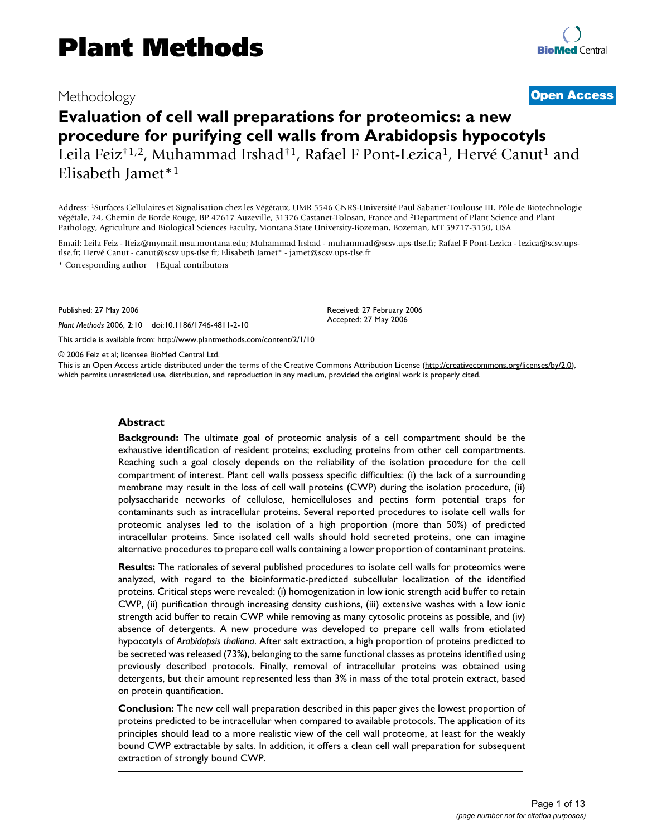# Methodology **[Open Access](http://www.biomedcentral.com/info/about/charter/)**

# **Evaluation of cell wall preparations for proteomics: a new procedure for purifying cell walls from Arabidopsis hypocotyls** Leila Feiz<sup>†1,2</sup>, Muhammad Irshad<sup>†1</sup>, Rafael F Pont-Lezica<sup>1</sup>, Hervé Canut<sup>1</sup> and Elisabeth Jamet\*1

Address: 1Surfaces Cellulaires et Signalisation chez les Végétaux, UMR 5546 CNRS-Université Paul Sabatier-Toulouse III, Pôle de Biotechnologie végétale, 24, Chemin de Borde Rouge, BP 42617 Auzeville, 31326 Castanet-Tolosan, France and 2Department of Plant Science and Plant Pathology, Agriculture and Biological Sciences Faculty, Montana State University-Bozeman, Bozeman, MT 59717-3150, USA

Email: Leila Feiz - lfeiz@mymail.msu.montana.edu; Muhammad Irshad - muhammad@scsv.ups-tlse.fr; Rafael F Pont-Lezica - lezica@scsv.upstlse.fr; Hervé Canut - canut@scsv.ups-tlse.fr; Elisabeth Jamet\* - jamet@scsv.ups-tlse.fr

> Received: 27 February 2006 Accepted: 27 May 2006

\* Corresponding author †Equal contributors

Published: 27 May 2006

*Plant Methods* 2006, **2**:10 doi:10.1186/1746-4811-2-10

[This article is available from: http://www.plantmethods.com/content/2/1/10](http://www.plantmethods.com/content/2/1/10)

© 2006 Feiz et al; licensee BioMed Central Ltd.

This is an Open Access article distributed under the terms of the Creative Commons Attribution License [\(http://creativecommons.org/licenses/by/2.0\)](http://creativecommons.org/licenses/by/2.0), which permits unrestricted use, distribution, and reproduction in any medium, provided the original work is properly cited.

#### **Abstract**

**Background:** The ultimate goal of proteomic analysis of a cell compartment should be the exhaustive identification of resident proteins; excluding proteins from other cell compartments. Reaching such a goal closely depends on the reliability of the isolation procedure for the cell compartment of interest. Plant cell walls possess specific difficulties: (i) the lack of a surrounding membrane may result in the loss of cell wall proteins (CWP) during the isolation procedure, (ii) polysaccharide networks of cellulose, hemicelluloses and pectins form potential traps for contaminants such as intracellular proteins. Several reported procedures to isolate cell walls for proteomic analyses led to the isolation of a high proportion (more than 50%) of predicted intracellular proteins. Since isolated cell walls should hold secreted proteins, one can imagine alternative procedures to prepare cell walls containing a lower proportion of contaminant proteins.

**Results:** The rationales of several published procedures to isolate cell walls for proteomics were analyzed, with regard to the bioinformatic-predicted subcellular localization of the identified proteins. Critical steps were revealed: (i) homogenization in low ionic strength acid buffer to retain CWP, (ii) purification through increasing density cushions, (iii) extensive washes with a low ionic strength acid buffer to retain CWP while removing as many cytosolic proteins as possible, and (iv) absence of detergents. A new procedure was developed to prepare cell walls from etiolated hypocotyls of *Arabidopsis thaliana*. After salt extraction, a high proportion of proteins predicted to be secreted was released (73%), belonging to the same functional classes as proteins identified using previously described protocols. Finally, removal of intracellular proteins was obtained using detergents, but their amount represented less than 3% in mass of the total protein extract, based on protein quantification.

**Conclusion:** The new cell wall preparation described in this paper gives the lowest proportion of proteins predicted to be intracellular when compared to available protocols. The application of its principles should lead to a more realistic view of the cell wall proteome, at least for the weakly bound CWP extractable by salts. In addition, it offers a clean cell wall preparation for subsequent extraction of strongly bound CWP.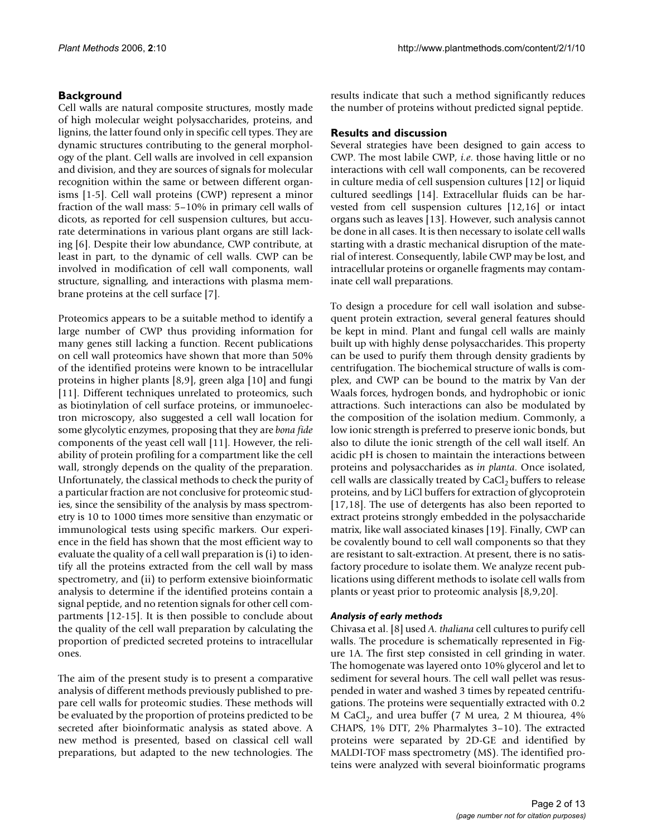# **Background**

Cell walls are natural composite structures, mostly made of high molecular weight polysaccharides, proteins, and lignins, the latter found only in specific cell types. They are dynamic structures contributing to the general morphology of the plant. Cell walls are involved in cell expansion and division, and they are sources of signals for molecular recognition within the same or between different organisms [1-5]. Cell wall proteins (CWP) represent a minor fraction of the wall mass: 5–10% in primary cell walls of dicots, as reported for cell suspension cultures, but accurate determinations in various plant organs are still lacking [6]. Despite their low abundance, CWP contribute, at least in part, to the dynamic of cell walls. CWP can be involved in modification of cell wall components, wall structure, signalling, and interactions with plasma membrane proteins at the cell surface [7].

Proteomics appears to be a suitable method to identify a large number of CWP thus providing information for many genes still lacking a function. Recent publications on cell wall proteomics have shown that more than 50% of the identified proteins were known to be intracellular proteins in higher plants [8,9], green alga [10] and fungi [11]. Different techniques unrelated to proteomics, such as biotinylation of cell surface proteins, or immunoelectron microscopy, also suggested a cell wall location for some glycolytic enzymes, proposing that they are *bona fide* components of the yeast cell wall [11]. However, the reliability of protein profiling for a compartment like the cell wall, strongly depends on the quality of the preparation. Unfortunately, the classical methods to check the purity of a particular fraction are not conclusive for proteomic studies, since the sensibility of the analysis by mass spectrometry is 10 to 1000 times more sensitive than enzymatic or immunological tests using specific markers. Our experience in the field has shown that the most efficient way to evaluate the quality of a cell wall preparation is (i) to identify all the proteins extracted from the cell wall by mass spectrometry, and (ii) to perform extensive bioinformatic analysis to determine if the identified proteins contain a signal peptide, and no retention signals for other cell compartments [12-15]. It is then possible to conclude about the quality of the cell wall preparation by calculating the proportion of predicted secreted proteins to intracellular ones.

The aim of the present study is to present a comparative analysis of different methods previously published to prepare cell walls for proteomic studies. These methods will be evaluated by the proportion of proteins predicted to be secreted after bioinformatic analysis as stated above. A new method is presented, based on classical cell wall preparations, but adapted to the new technologies. The results indicate that such a method significantly reduces the number of proteins without predicted signal peptide.

### **Results and discussion**

Several strategies have been designed to gain access to CWP. The most labile CWP, *i.e*. those having little or no interactions with cell wall components, can be recovered in culture media of cell suspension cultures [12] or liquid cultured seedlings [14]. Extracellular fluids can be harvested from cell suspension cultures [12,16] or intact organs such as leaves [13]. However, such analysis cannot be done in all cases. It is then necessary to isolate cell walls starting with a drastic mechanical disruption of the material of interest. Consequently, labile CWP may be lost, and intracellular proteins or organelle fragments may contaminate cell wall preparations.

To design a procedure for cell wall isolation and subsequent protein extraction, several general features should be kept in mind. Plant and fungal cell walls are mainly built up with highly dense polysaccharides. This property can be used to purify them through density gradients by centrifugation. The biochemical structure of walls is complex, and CWP can be bound to the matrix by Van der Waals forces, hydrogen bonds, and hydrophobic or ionic attractions. Such interactions can also be modulated by the composition of the isolation medium. Commonly, a low ionic strength is preferred to preserve ionic bonds, but also to dilute the ionic strength of the cell wall itself. An acidic pH is chosen to maintain the interactions between proteins and polysaccharides as *in planta*. Once isolated, cell walls are classically treated by CaCl<sub>2</sub> buffers to release proteins, and by LiCl buffers for extraction of glycoprotein [17,18]. The use of detergents has also been reported to extract proteins strongly embedded in the polysaccharide matrix, like wall associated kinases [19]. Finally, CWP can be covalently bound to cell wall components so that they are resistant to salt-extraction. At present, there is no satisfactory procedure to isolate them. We analyze recent publications using different methods to isolate cell walls from plants or yeast prior to proteomic analysis [8,9,20].

### *Analysis of early methods*

Chivasa et al. [8] used *A. thaliana* cell cultures to purify cell walls. The procedure is schematically represented in Figure 1A. The first step consisted in cell grinding in water. The homogenate was layered onto 10% glycerol and let to sediment for several hours. The cell wall pellet was resuspended in water and washed 3 times by repeated centrifugations. The proteins were sequentially extracted with 0.2 M CaCl<sub>2</sub>, and urea buffer (7 M urea, 2 M thiourea, 4% CHAPS, 1% DTT, 2% Pharmalytes 3–10). The extracted proteins were separated by 2D-GE and identified by MALDI-TOF mass spectrometry (MS). The identified proteins were analyzed with several bioinformatic programs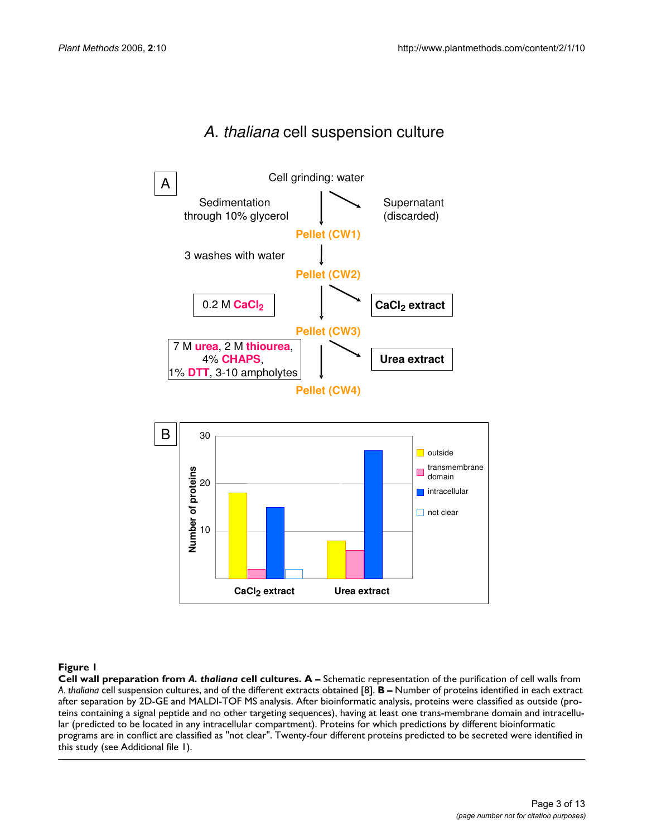# A. thaliana cell suspension culture



### Figure 1

**Cell wall preparation from** *A. thaliana* **cell cultures. A –** Schematic representation of the purification of cell walls from *A. thaliana* cell suspension cultures, and of the different extracts obtained [8]. **B –** Number of proteins identified in each extract after separation by 2D-GE and MALDI-TOF MS analysis. After bioinformatic analysis, proteins were classified as outside (proteins containing a signal peptide and no other targeting sequences), having at least one trans-membrane domain and intracellular (predicted to be located in any intracellular compartment). Proteins for which predictions by different bioinformatic programs are in conflict are classified as "not clear". Twenty-four different proteins predicted to be secreted were identified in this study (see Additional file 1).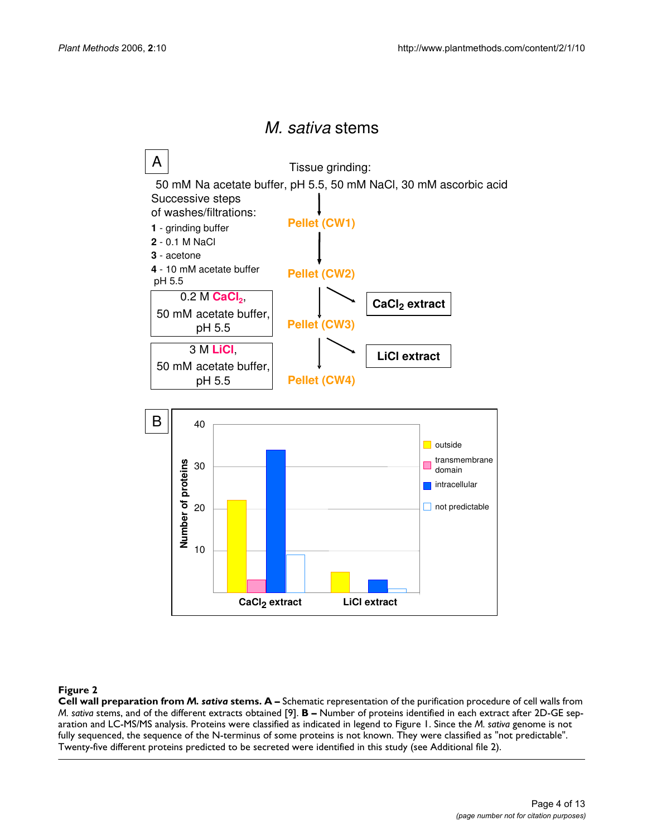# M. sativa stems



#### **Figure 2**

**Cell wall preparation from** *M. sativa* **stems. A –** Schematic representation of the purification procedure of cell walls from *M. sativa* stems, and of the different extracts obtained [9]. **B –** Number of proteins identified in each extract after 2D-GE separation and LC-MS/MS analysis. Proteins were classified as indicated in legend to Figure 1. Since the *M. sativa* genome is not fully sequenced, the sequence of the N-terminus of some proteins is not known. They were classified as "not predictable". Twenty-five different proteins predicted to be secreted were identified in this study (see Additional file 2).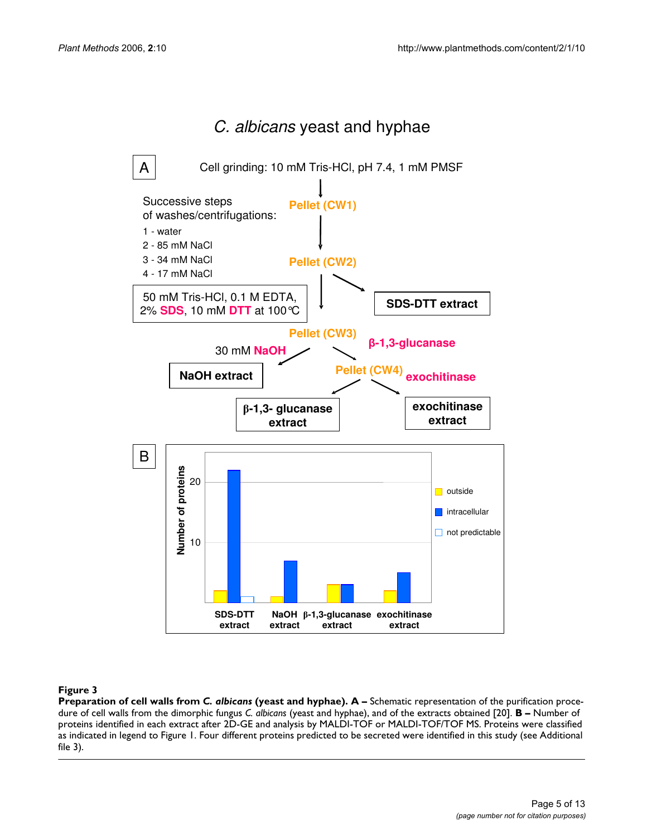# C. albicans yeast and hyphae

![](_page_4_Figure_3.jpeg)

#### **Figure 3**

**Preparation of cell walls from** *C. albicans* **(yeast and hyphae). A –** Schematic representation of the purification procedure of cell walls from the dimorphic fungus *C. albicans* (yeast and hyphae), and of the extracts obtained [20]. **B –** Number of proteins identified in each extract after 2D-GE and analysis by MALDI-TOF or MALDI-TOF/TOF MS. Proteins were classified as indicated in legend to Figure 1. Four different proteins predicted to be secreted were identified in this study (see Additional file 3).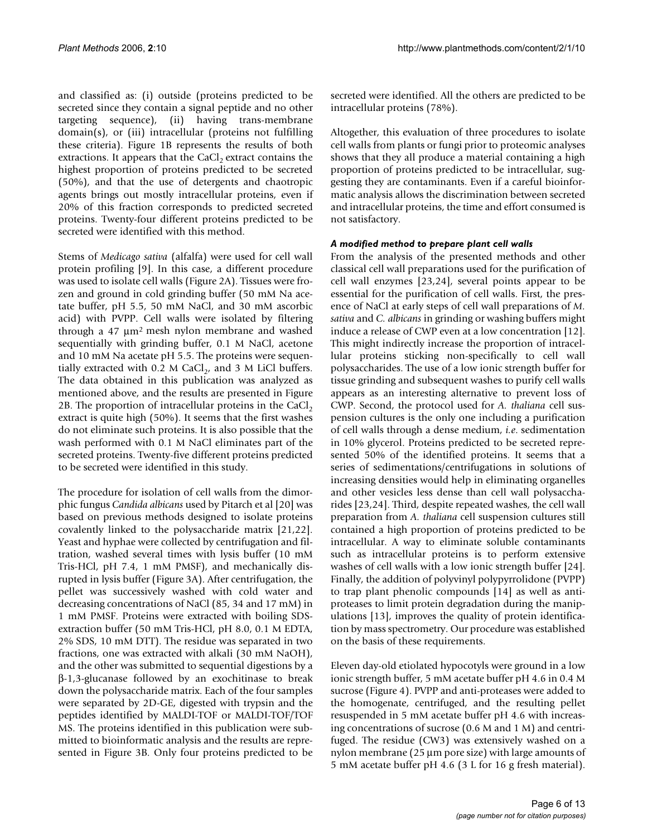and classified as: (i) outside (proteins predicted to be secreted since they contain a signal peptide and no other targeting sequence), (ii) having trans-membrane domain(s), or (iii) intracellular (proteins not fulfilling these criteria). Figure 1B represents the results of both extractions. It appears that the CaCl<sub>2</sub> extract contains the highest proportion of proteins predicted to be secreted (50%), and that the use of detergents and chaotropic agents brings out mostly intracellular proteins, even if 20% of this fraction corresponds to predicted secreted proteins. Twenty-four different proteins predicted to be secreted were identified with this method.

Stems of *Medicago sativa* (alfalfa) were used for cell wall protein profiling [9]. In this case, a different procedure was used to isolate cell walls (Figure 2A). Tissues were frozen and ground in cold grinding buffer (50 mM Na acetate buffer, pH 5.5, 50 mM NaCl, and 30 mM ascorbic acid) with PVPP. Cell walls were isolated by filtering through a 47 μm2 mesh nylon membrane and washed sequentially with grinding buffer, 0.1 M NaCl, acetone and 10 mM Na acetate pH 5.5. The proteins were sequentially extracted with 0.2 M CaCl $_2$ , and 3 M LiCl buffers. The data obtained in this publication was analyzed as mentioned above, and the results are presented in Figure 2B. The proportion of intracellular proteins in the CaCl $_2$ extract is quite high (50%). It seems that the first washes do not eliminate such proteins. It is also possible that the wash performed with 0.1 M NaCl eliminates part of the secreted proteins. Twenty-five different proteins predicted to be secreted were identified in this study.

The procedure for isolation of cell walls from the dimorphic fungus *Candida albicans* used by Pitarch et al [20] was based on previous methods designed to isolate proteins covalently linked to the polysaccharide matrix [21[,22](#page-11-0)]. Yeast and hyphae were collected by centrifugation and filtration, washed several times with lysis buffer (10 mM Tris-HCl, pH 7.4, 1 mM PMSF), and mechanically disrupted in lysis buffer (Figure 3A). After centrifugation, the pellet was successively washed with cold water and decreasing concentrations of NaCl (85, 34 and 17 mM) in 1 mM PMSF. Proteins were extracted with boiling SDSextraction buffer (50 mM Tris-HCl, pH 8.0, 0.1 M EDTA, 2% SDS, 10 mM DTT). The residue was separated in two fractions, one was extracted with alkali (30 mM NaOH), and the other was submitted to sequential digestions by a β-1,3-glucanase followed by an exochitinase to break down the polysaccharide matrix. Each of the four samples were separated by 2D-GE, digested with trypsin and the peptides identified by MALDI-TOF or MALDI-TOF/TOF MS. The proteins identified in this publication were submitted to bioinformatic analysis and the results are represented in Figure 3B. Only four proteins predicted to be secreted were identified. All the others are predicted to be intracellular proteins (78%).

Altogether, this evaluation of three procedures to isolate cell walls from plants or fungi prior to proteomic analyses shows that they all produce a material containing a high proportion of proteins predicted to be intracellular, suggesting they are contaminants. Even if a careful bioinformatic analysis allows the discrimination between secreted and intracellular proteins, the time and effort consumed is not satisfactory.

### *A modified method to prepare plant cell walls*

From the analysis of the presented methods and other classical cell wall preparations used for the purification of cell wall enzymes [23,24], several points appear to be essential for the purification of cell walls. First, the presence of NaCl at early steps of cell wall preparations of *M. sativa* and *C. albicans* in grinding or washing buffers might induce a release of CWP even at a low concentration [12]. This might indirectly increase the proportion of intracellular proteins sticking non-specifically to cell wall polysaccharides. The use of a low ionic strength buffer for tissue grinding and subsequent washes to purify cell walls appears as an interesting alternative to prevent loss of CWP. Second, the protocol used for *A. thaliana* cell suspension cultures is the only one including a purification of cell walls through a dense medium, *i.e*. sedimentation in 10% glycerol. Proteins predicted to be secreted represented 50% of the identified proteins. It seems that a series of sedimentations/centrifugations in solutions of increasing densities would help in eliminating organelles and other vesicles less dense than cell wall polysaccharides [23,24]. Third, despite repeated washes, the cell wall preparation from *A. thaliana* cell suspension cultures still contained a high proportion of proteins predicted to be intracellular. A way to eliminate soluble contaminants such as intracellular proteins is to perform extensive washes of cell walls with a low ionic strength buffer [24]. Finally, the addition of polyvinyl polypyrrolidone (PVPP) to trap plant phenolic compounds [14] as well as antiproteases to limit protein degradation during the manipulations [13], improves the quality of protein identification by mass spectrometry. Our procedure was established on the basis of these requirements.

Eleven day-old etiolated hypocotyls were ground in a low ionic strength buffer, 5 mM acetate buffer pH 4.6 in 0.4 M sucrose (Figure 4). PVPP and anti-proteases were added to the homogenate, centrifuged, and the resulting pellet resuspended in 5 mM acetate buffer pH 4.6 with increasing concentrations of sucrose (0.6 M and 1 M) and centrifuged. The residue (CW3) was extensively washed on a nylon membrane (25 μm pore size) with large amounts of 5 mM acetate buffer pH 4.6 (3 L for 16 g fresh material).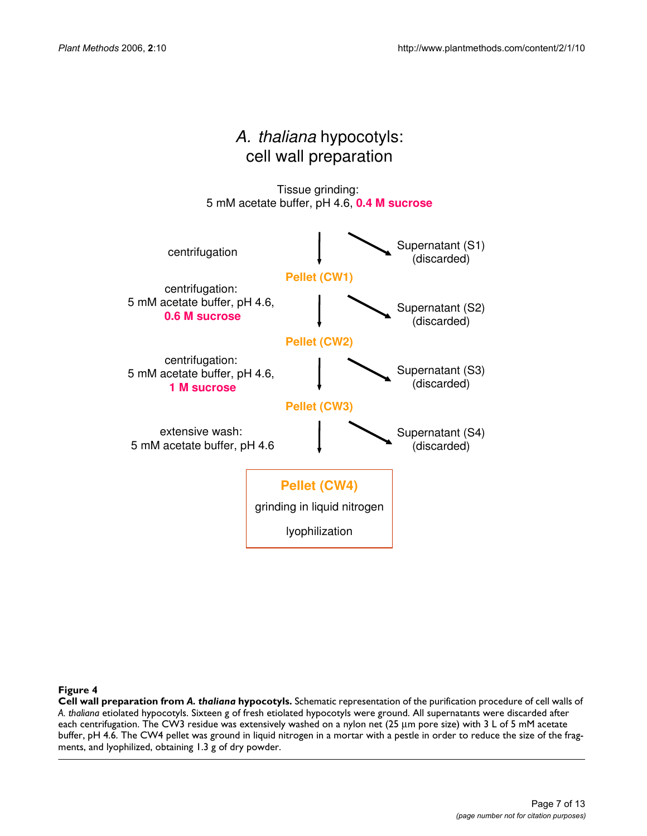# A. thaliana hypocotyls: cell wall preparation

![](_page_6_Figure_3.jpeg)

#### Figure 4

**Cell wall preparation from** *A. thaliana* **hypocotyls.** Schematic representation of the purification procedure of cell walls of *A. thaliana* etiolated hypocotyls. Sixteen g of fresh etiolated hypocotyls were ground. All supernatants were discarded after each centrifugation. The CW3 residue was extensively washed on a nylon net (25 μm pore size) with 3 L of 5 mM acetate buffer, pH 4.6. The CW4 pellet was ground in liquid nitrogen in a mortar with a pestle in order to reduce the size of the fragments, and lyophilized, obtaining 1.3 g of dry powder.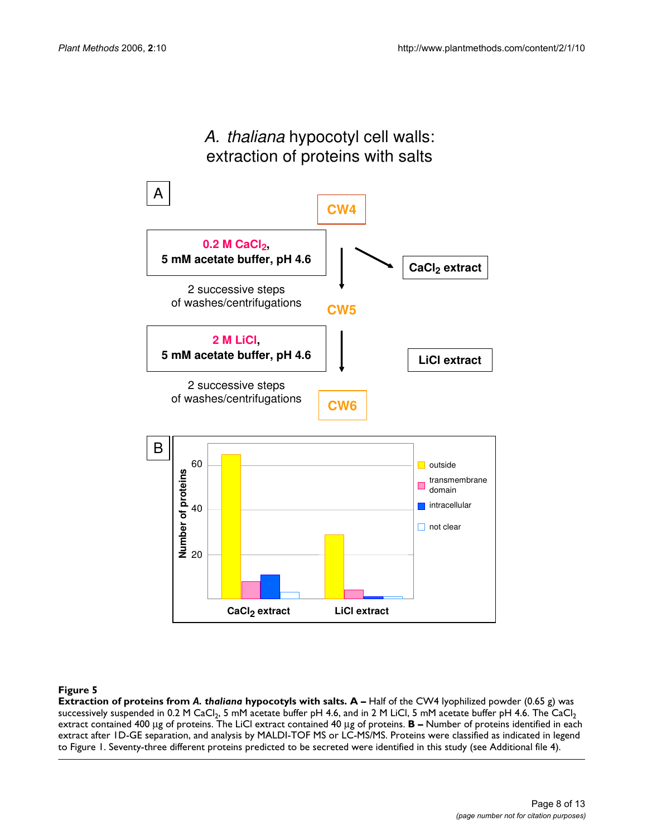![](_page_7_Figure_2.jpeg)

### **Figure 5**

**Extraction of proteins from** *A. thaliana* **hypocotyls with salts. A –** Half of the CW4 lyophilized powder (0.65 g) was successively suspended in 0.2 M CaCl<sub>2</sub>, 5 mM acetate buffer pH 4.6, and in 2 M LiCl, 5 mM acetate buffer pH 4.6. The CaCl<sub>2</sub> extract contained 400 μg of proteins. The LiCl extract contained 40 μg of proteins. **B –** Number of proteins identified in each extract after 1D-GE separation, and analysis by MALDI-TOF MS or LC-MS/MS. Proteins were classified as indicated in legend to Figure 1. Seventy-three different proteins predicted to be secreted were identified in this study (see Additional file 4).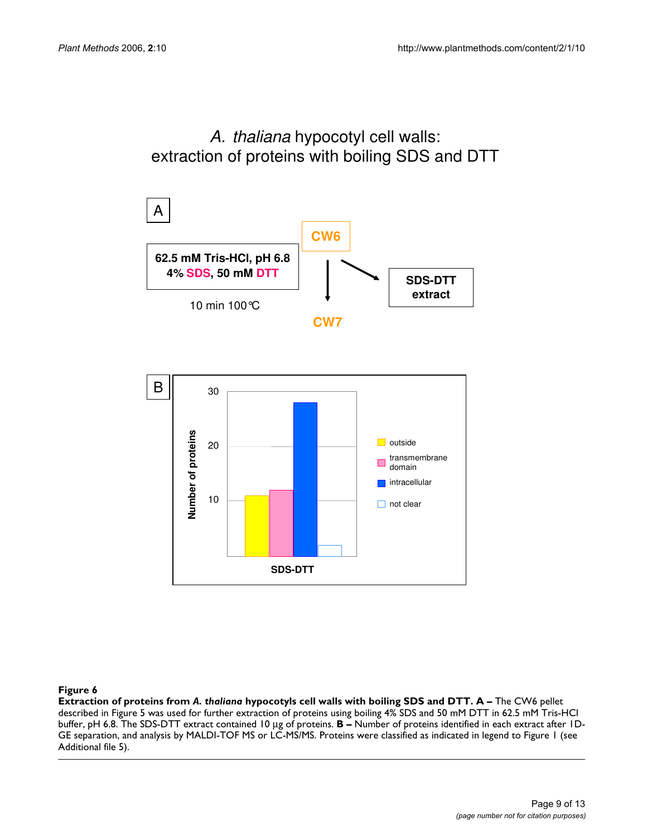# A. thaliana hypocotyl cell walls: extraction of proteins with boiling SDS and DTT

![](_page_8_Figure_3.jpeg)

### Extraction of proteins from **Figure 6** *A. thaliana* hypocotyls cell walls with boiling SDS and DTT

**Extraction of proteins from** *A. thaliana* **hypocotyls cell walls with boiling SDS and DTT. A –** The CW6 pellet described in Figure 5 was used for further extraction of proteins using boiling 4% SDS and 50 mM DTT in 62.5 mM Tris-HCl buffer, pH 6.8. The SDS-DTT extract contained 10 μg of proteins. **B –** Number of proteins identified in each extract after 1D-GE separation, and analysis by MALDI-TOF MS or LC-MS/MS. Proteins were classified as indicated in legend to Figure 1 (see Additional file 5).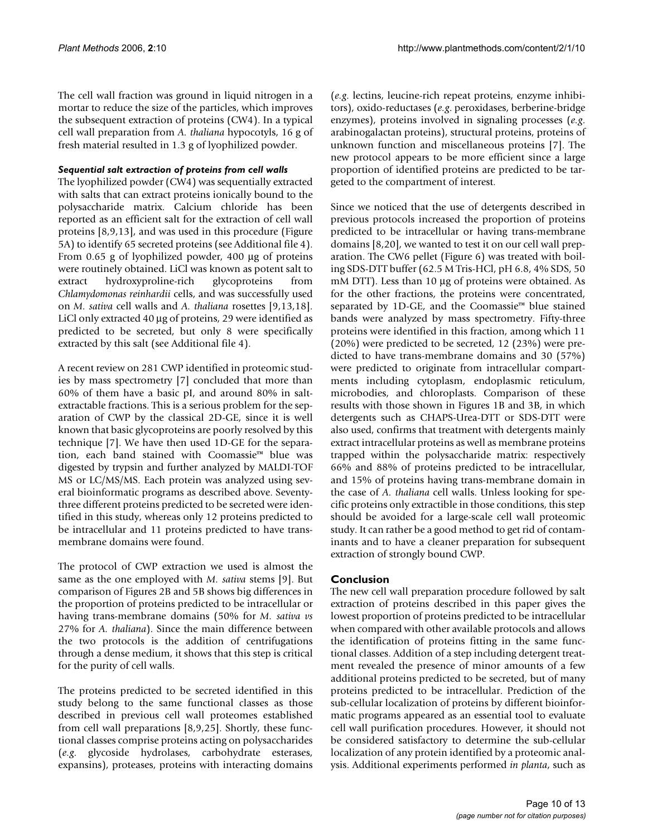The cell wall fraction was ground in liquid nitrogen in a mortar to reduce the size of the particles, which improves the subsequent extraction of proteins (CW4). In a typical cell wall preparation from *A. thaliana* hypocotyls, 16 g of fresh material resulted in 1.3 g of lyophilized powder.

### *Sequential salt extraction of proteins from cell walls*

The lyophilized powder (CW4) was sequentially extracted with salts that can extract proteins ionically bound to the polysaccharide matrix. Calcium chloride has been reported as an efficient salt for the extraction of cell wall proteins [8,9,13], and was used in this procedure (Figure 5A) to identify 65 secreted proteins (see Additional file 4). From 0.65 g of lyophilized powder, 400 μg of proteins were routinely obtained. LiCl was known as potent salt to extract hydroxyproline-rich glycoproteins from *Chlamydomonas reinhardii* cells, and was successfully used on *M. sativa* cell walls and *A. thaliana* rosettes [9,13,18]. LiCl only extracted 40 μg of proteins, 29 were identified as predicted to be secreted, but only 8 were specifically extracted by this salt (see Additional file 4).

A recent review on 281 CWP identified in proteomic studies by mass spectrometry [7] concluded that more than 60% of them have a basic pI, and around 80% in saltextractable fractions. This is a serious problem for the separation of CWP by the classical 2D-GE, since it is well known that basic glycoproteins are poorly resolved by this technique [7]. We have then used 1D-GE for the separation, each band stained with Coomassie™ blue was digested by trypsin and further analyzed by MALDI-TOF MS or LC/MS/MS. Each protein was analyzed using several bioinformatic programs as described above. Seventythree different proteins predicted to be secreted were identified in this study, whereas only 12 proteins predicted to be intracellular and 11 proteins predicted to have transmembrane domains were found.

The protocol of CWP extraction we used is almost the same as the one employed with *M. sativa* stems [9]. But comparison of Figures 2B and 5B shows big differences in the proportion of proteins predicted to be intracellular or having trans-membrane domains (50% for *M. sativa vs* 27% for *A. thaliana*). Since the main difference between the two protocols is the addition of centrifugations through a dense medium, it shows that this step is critical for the purity of cell walls.

The proteins predicted to be secreted identified in this study belong to the same functional classes as those described in previous cell wall proteomes established from cell wall preparations [8,9,25]. Shortly, these functional classes comprise proteins acting on polysaccharides (*e.g*. glycoside hydrolases, carbohydrate esterases, expansins), proteases, proteins with interacting domains

(*e.g*. lectins, leucine-rich repeat proteins, enzyme inhibitors), oxido-reductases (*e.g*. peroxidases, berberine-bridge enzymes), proteins involved in signaling processes (*e.g*. arabinogalactan proteins), structural proteins, proteins of unknown function and miscellaneous proteins [7]. The new protocol appears to be more efficient since a large proportion of identified proteins are predicted to be targeted to the compartment of interest.

Since we noticed that the use of detergents described in previous protocols increased the proportion of proteins predicted to be intracellular or having trans-membrane domains [8,20], we wanted to test it on our cell wall preparation. The CW6 pellet (Figure 6) was treated with boiling SDS-DTT buffer (62.5 M Tris-HCl, pH 6.8, 4% SDS, 50 mM DTT). Less than 10 μg of proteins were obtained. As for the other fractions, the proteins were concentrated, separated by 1D-GE, and the Coomassie™ blue stained bands were analyzed by mass spectrometry. Fifty-three proteins were identified in this fraction, among which 11 (20%) were predicted to be secreted, 12 (23%) were predicted to have trans-membrane domains and 30 (57%) were predicted to originate from intracellular compartments including cytoplasm, endoplasmic reticulum, microbodies, and chloroplasts. Comparison of these results with those shown in Figures 1B and 3B, in which detergents such as CHAPS-Urea-DTT or SDS-DTT were also used, confirms that treatment with detergents mainly extract intracellular proteins as well as membrane proteins trapped within the polysaccharide matrix: respectively 66% and 88% of proteins predicted to be intracellular, and 15% of proteins having trans-membrane domain in the case of *A. thaliana* cell walls. Unless looking for specific proteins only extractible in those conditions, this step should be avoided for a large-scale cell wall proteomic study. It can rather be a good method to get rid of contaminants and to have a cleaner preparation for subsequent extraction of strongly bound CWP.

# **Conclusion**

The new cell wall preparation procedure followed by salt extraction of proteins described in this paper gives the lowest proportion of proteins predicted to be intracellular when compared with other available protocols and allows the identification of proteins fitting in the same functional classes. Addition of a step including detergent treatment revealed the presence of minor amounts of a few additional proteins predicted to be secreted, but of many proteins predicted to be intracellular. Prediction of the sub-cellular localization of proteins by different bioinformatic programs appeared as an essential tool to evaluate cell wall purification procedures. However, it should not be considered satisfactory to determine the sub-cellular localization of any protein identified by a proteomic analysis. Additional experiments performed *in planta*, such as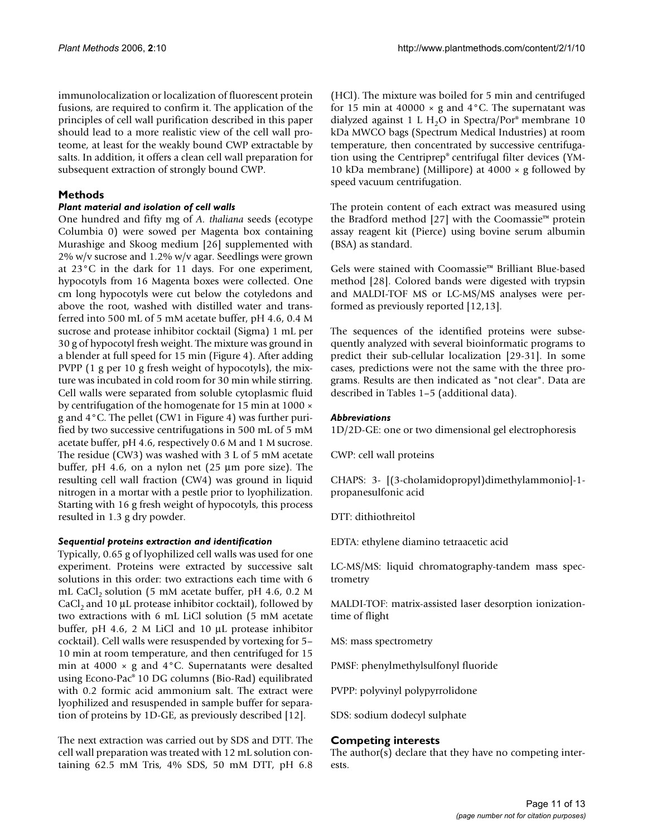immunolocalization or localization of fluorescent protein fusions, are required to confirm it. The application of the principles of cell wall purification described in this paper should lead to a more realistic view of the cell wall proteome, at least for the weakly bound CWP extractable by salts. In addition, it offers a clean cell wall preparation for subsequent extraction of strongly bound CWP.

### **Methods**

#### *Plant material and isolation of cell walls*

One hundred and fifty mg of *A. thaliana* seeds (ecotype Columbia 0) were sowed per Magenta box containing Murashige and Skoog medium [26] supplemented with 2% w/v sucrose and 1.2% w/v agar. Seedlings were grown at 23°C in the dark for 11 days. For one experiment, hypocotyls from 16 Magenta boxes were collected. One cm long hypocotyls were cut below the cotyledons and above the root, washed with distilled water and transferred into 500 mL of 5 mM acetate buffer, pH 4.6, 0.4 M sucrose and protease inhibitor cocktail (Sigma) 1 mL per 30 g of hypocotyl fresh weight. The mixture was ground in a blender at full speed for 15 min (Figure 4). After adding PVPP (1 g per 10 g fresh weight of hypocotyls), the mixture was incubated in cold room for 30 min while stirring. Cell walls were separated from soluble cytoplasmic fluid by centrifugation of the homogenate for 15 min at 1000 × g and 4°C. The pellet (CW1 in Figure 4) was further purified by two successive centrifugations in 500 mL of 5 mM acetate buffer, pH 4.6, respectively 0.6 M and 1 M sucrose. The residue (CW3) was washed with 3 L of 5 mM acetate buffer, pH 4.6, on a nylon net (25 μm pore size). The resulting cell wall fraction (CW4) was ground in liquid nitrogen in a mortar with a pestle prior to lyophilization. Starting with 16 g fresh weight of hypocotyls, this process resulted in 1.3 g dry powder.

### *Sequential proteins extraction and identification*

Typically, 0.65 g of lyophilized cell walls was used for one experiment. Proteins were extracted by successive salt solutions in this order: two extractions each time with 6 mL CaCl<sub>2</sub> solution (5 mM acetate buffer, pH 4.6, 0.2 M CaCl<sub>2</sub> and 10 μL protease inhibitor cocktail), followed by two extractions with 6 mL LiCl solution (5 mM acetate buffer, pH 4.6, 2 M LiCl and 10 μL protease inhibitor cocktail). Cell walls were resuspended by vortexing for 5– 10 min at room temperature, and then centrifuged for 15 min at 4000  $\times$  g and 4 $\degree$ C. Supernatants were desalted using Econo-Pac® 10 DG columns (Bio-Rad) equilibrated with 0.2 formic acid ammonium salt. The extract were lyophilized and resuspended in sample buffer for separation of proteins by 1D-GE, as previously described [12].

The next extraction was carried out by SDS and DTT. The cell wall preparation was treated with 12 mL solution containing 62.5 mM Tris, 4% SDS, 50 mM DTT, pH 6.8

(HCl). The mixture was boiled for 5 min and centrifuged for 15 min at 40000  $\times$  g and 4 $\degree$ C. The supernatant was dialyzed against 1 L H<sub>2</sub>O in Spectra/Por® membrane 10 kDa MWCO bags (Spectrum Medical Industries) at room temperature, then concentrated by successive centrifugation using the Centriprep® centrifugal filter devices (YM-10 kDa membrane) (Millipore) at  $4000 \times g$  followed by speed vacuum centrifugation.

The protein content of each extract was measured using the Bradford method [27] with the Coomassie™ protein assay reagent kit (Pierce) using bovine serum albumin (BSA) as standard.

Gels were stained with Coomassie™ Brilliant Blue-based method [28]. Colored bands were digested with trypsin and MALDI-TOF MS or LC-MS/MS analyses were performed as previously reported [12,13].

The sequences of the identified proteins were subsequently analyzed with several bioinformatic programs to predict their sub-cellular localization [29-31]. In some cases, predictions were not the same with the three programs. Results are then indicated as "not clear". Data are described in Tables 1–5 (additional data).

#### *Abbreviations*

1D/2D-GE: one or two dimensional gel electrophoresis

CWP: cell wall proteins

CHAPS: 3- [(3-cholamidopropyl)dimethylammonio]-1 propanesulfonic acid

DTT: dithiothreitol

EDTA: ethylene diamino tetraacetic acid

LC-MS/MS: liquid chromatography-tandem mass spectrometry

MALDI-TOF: matrix-assisted laser desorption ionizationtime of flight

MS: mass spectrometry

PMSF: phenylmethylsulfonyl fluoride

PVPP: polyvinyl polypyrrolidone

SDS: sodium dodecyl sulphate

### **Competing interests**

The author(s) declare that they have no competing interests.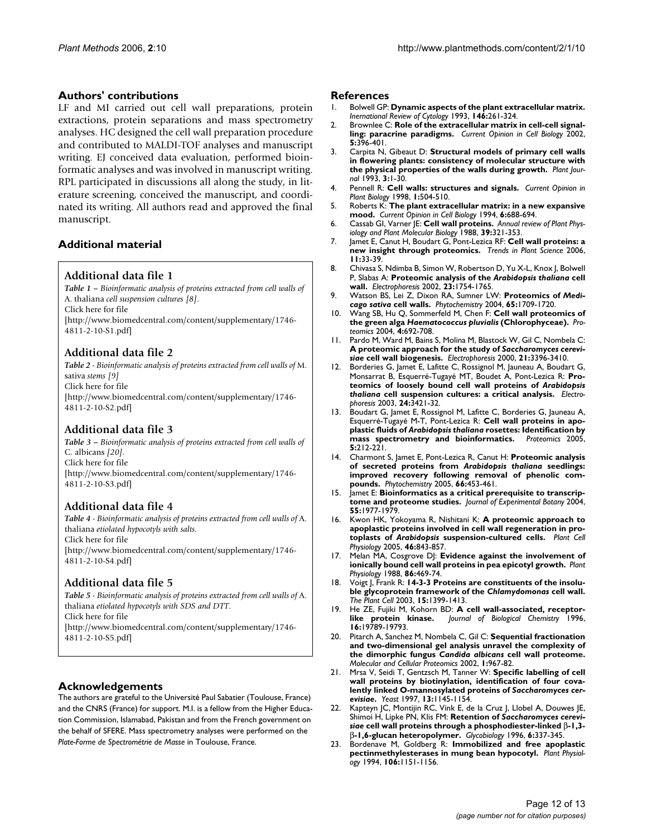#### **Authors' contributions**

LF and MI carried out cell wall preparations, protein extractions, protein separations and mass spectrometry analyses. HC designed the cell wall preparation procedure and contributed to MALDI-TOF analyses and manuscript writing. EJ conceived data evaluation, performed bioinformatic analyses and was involved in manuscript writing. RPL participated in discussions all along the study, in literature screening, conceived the manuscript, and coordinated its writing. All authors read and approved the final manuscript.

### **Additional material**

#### **Additional data file 1**

*Table 1 – Bioinformatic analysis of proteins extracted from cell walls of*  A. thaliana *cell suspension cultures [8].* Click here for file [\[http://www.biomedcentral.com/content/supplementary/1746-](http://www.biomedcentral.com/content/supplementary/1746-4811-2-10-S1.pdf) 4811-2-10-S1.pdf]

### **Additional data file 2**

*Table 2 - Bioinformatic analysis of proteins extracted from cell walls of* M. sativa *stems [9]* Click here for file [\[http://www.biomedcentral.com/content/supplementary/1746-](http://www.biomedcentral.com/content/supplementary/1746-4811-2-10-S2.pdf) 4811-2-10-S2.pdf]

# **Additional data file 3**

*Table 3 – Bioinformatic analysis of proteins extracted from cell walls of*  C. albicans *[20].* Click here for file [\[http://www.biomedcentral.com/content/supplementary/1746-](http://www.biomedcentral.com/content/supplementary/1746-4811-2-10-S3.pdf) 4811-2-10-S3.pdf]

### **Additional data file 4**

*Table 4 - Bioinformatic analysis of proteins extracted from cell walls of* A. thaliana *etiolated hypocotyls with salts.* Click here for file

[\[http://www.biomedcentral.com/content/supplementary/1746-](http://www.biomedcentral.com/content/supplementary/1746-4811-2-10-S4.pdf) 4811-2-10-S4.pdf]

# **Additional data file 5**

*Table 5 - Bioinformatic analysis of proteins extracted from cell walls of* A. thaliana *etiolated hypocotyls with SDS and DTT.* Click here for file [\[http://www.biomedcentral.com/content/supplementary/1746-](http://www.biomedcentral.com/content/supplementary/1746-4811-2-10-S5.pdf) 4811-2-10-S5.pdf]

### **Acknowledgements**

The authors are grateful to the Université Paul Sabatier (Toulouse, France) and the CNRS (France) for support. M.I. is a fellow from the Higher Education Commission, Islamabad, Pakistan and from the French government on the behalf of SFERE. Mass spectrometry analyses were performed on the *Plate-Forme de Spectrométrie de Masse* in Toulouse, France.

#### **References**

- 1. Bolwell GP: **Dynamic aspects of the plant extracellular matrix.** *Inernational Review of Cytology* 1993, **146:**261-324.
- 2. Brownlee C: **Role of the extracellular matrix in cell-cell signalling: paracrine paradigms.** *Current Opinion in Cell Biology* 2002, **5:**396-401.
- 3. Carpita N, Gibeaut D: **[Structural models of primary cell walls](http://www.ncbi.nlm.nih.gov/entrez/query.fcgi?cmd=Retrieve&db=PubMed&dopt=Abstract&list_uids=8401598) [in flowering plants: consistency of molecular structure with](http://www.ncbi.nlm.nih.gov/entrez/query.fcgi?cmd=Retrieve&db=PubMed&dopt=Abstract&list_uids=8401598) [the physical properties of the walls during growth.](http://www.ncbi.nlm.nih.gov/entrez/query.fcgi?cmd=Retrieve&db=PubMed&dopt=Abstract&list_uids=8401598)** *Plant Journal* 1993, **3:**1-30.
- 4. Pennell R: **[Cell walls: structures and signals.](http://www.ncbi.nlm.nih.gov/entrez/query.fcgi?cmd=Retrieve&db=PubMed&dopt=Abstract&list_uids=10066626)** *Current Opinion in Plant Biology* 1998, **1:**504-510.
- 5. Roberts K: **[The plant extracellular matrix: in a new expansive](http://www.ncbi.nlm.nih.gov/entrez/query.fcgi?cmd=Retrieve&db=PubMed&dopt=Abstract&list_uids=7833049) [mood.](http://www.ncbi.nlm.nih.gov/entrez/query.fcgi?cmd=Retrieve&db=PubMed&dopt=Abstract&list_uids=7833049)** *Current Opinion in Cell Biology* 1994, **6:**688-694.
- 6. Cassab GI, Varner JE: **Cell wall proteins.** *Annual review of Plant Physiology and Plant Molecular Biology* 1988, **39:**321-353.
- 7. Jamet E, Canut H, Boudart G, Pont-Lezica RF: **[Cell wall proteins: a](http://www.ncbi.nlm.nih.gov/entrez/query.fcgi?cmd=Retrieve&db=PubMed&dopt=Abstract&list_uids=16356755) [new insight through proteomics.](http://www.ncbi.nlm.nih.gov/entrez/query.fcgi?cmd=Retrieve&db=PubMed&dopt=Abstract&list_uids=16356755)** *Trends in Plant Science* 2006, **11:**33-39.
- 8. Chivasa S, Ndimba B, Simon W, Robertson D, Yu X-L, Knox J, Bolwell P, Slabas A: **Proteomic analysis of the** *Arabidopsis thaliana* **[cell](http://www.ncbi.nlm.nih.gov/entrez/query.fcgi?cmd=Retrieve&db=PubMed&dopt=Abstract&list_uids=12179997) [wall.](http://www.ncbi.nlm.nih.gov/entrez/query.fcgi?cmd=Retrieve&db=PubMed&dopt=Abstract&list_uids=12179997)** *Electrophoresis* 2002, **23:**1754-1765.
- 9. Watson BS, Lei Z, Dixon RA, Sumner LW: **Proteomics of** *Medicago sativa* **[cell walls.](http://www.ncbi.nlm.nih.gov/entrez/query.fcgi?cmd=Retrieve&db=PubMed&dopt=Abstract&list_uids=15276432)** *Phytochemistry* 2004, **65:**1709-1720.
- 10. Wang SB, Hu Q, Sommerfeld M, Chen F: **Cell wall proteomics of the green alga** *Haematococcus pluvialis* **[\(Chlorophyceae\).](http://www.ncbi.nlm.nih.gov/entrez/query.fcgi?cmd=Retrieve&db=PubMed&dopt=Abstract&list_uids=14997492)** *Proteomics* 2004, **4:**692-708.
- 11. Pardo M, Ward M, Bains S, Molina M, Blastock W, Gil C, Nombela C: **A proteomic approach for the study of** *Saccharomyces cerevisiae* **[cell wall biogenesis.](http://www.ncbi.nlm.nih.gov/entrez/query.fcgi?cmd=Retrieve&db=PubMed&dopt=Abstract&list_uids=11079560)** *Electrophoresis* 2000, **21:**3396-3410.
- 12. Borderies G, Jamet E, Lafitte C, Rossignol M, Jauneau A, Boudart G, Monsarrat B, Esquerré-Tugayé MT, Boudet A, Pont-Lezica R: **Proteomics of loosely bound cell wall proteins of** *Arabidopsis thaliana* **[cell suspension cultures: a critical analysis.](http://www.ncbi.nlm.nih.gov/entrez/query.fcgi?cmd=Retrieve&db=PubMed&dopt=Abstract&list_uids=14595688)** *Electrophoresis* 2003, **24:**3421-32.
- 13. Boudart G, Jamet E, Rossignol M, Lafitte C, Borderies G, Jauneau A, Esquerré-Tugayé M-T, Pont-Lezica R: **Cell wall proteins in apoplastic fluids of** *Arabidopsis thaliana* **[rosettes: Identification by](http://www.ncbi.nlm.nih.gov/entrez/query.fcgi?cmd=Retrieve&db=PubMed&dopt=Abstract&list_uids=15593128) [mass spectrometry and bioinformatics.](http://www.ncbi.nlm.nih.gov/entrez/query.fcgi?cmd=Retrieve&db=PubMed&dopt=Abstract&list_uids=15593128)** *Proteomics* 2005, **5:**212-221.
- 14. Charmont S, Jamet E, Pont-Lezica R, Canut H: **Proteomic analysis of secreted proteins from** *Arabidopsis thaliana* **[seedlings:](http://www.ncbi.nlm.nih.gov/entrez/query.fcgi?cmd=Retrieve&db=PubMed&dopt=Abstract&list_uids=15694452) [improved recovery following removal of phenolic com](http://www.ncbi.nlm.nih.gov/entrez/query.fcgi?cmd=Retrieve&db=PubMed&dopt=Abstract&list_uids=15694452)[pounds.](http://www.ncbi.nlm.nih.gov/entrez/query.fcgi?cmd=Retrieve&db=PubMed&dopt=Abstract&list_uids=15694452)** *Phytochemistry* 2005, **66:**453-461.
- Jamet E: [Bioinformatics as a critical prerequisite to transcrip](http://www.ncbi.nlm.nih.gov/entrez/query.fcgi?cmd=Retrieve&db=PubMed&dopt=Abstract&list_uids=15258172)**[tome and proteome studies.](http://www.ncbi.nlm.nih.gov/entrez/query.fcgi?cmd=Retrieve&db=PubMed&dopt=Abstract&list_uids=15258172)** *Journal of Experimental Botany* 2004, **55:**1977-1979.
- 16. Kwon HK, Yokoyama R, Nishitani K: **A proteomic approach to apoplastic proteins involved in cell wall regeneration in protoplasts of** *Arabidopsis* **[suspension-cultured cells.](http://www.ncbi.nlm.nih.gov/entrez/query.fcgi?cmd=Retrieve&db=PubMed&dopt=Abstract&list_uids=15769804)** *Plant Cell Physiology* 2005, **46:**843-857.
- 17. Melan MA, Cosgrove DJ: **[Evidence against the involvement of](http://www.ncbi.nlm.nih.gov/entrez/query.fcgi?cmd=Retrieve&db=PubMed&dopt=Abstract&list_uids=11538235) [ionically bound cell wall proteins in pea epicotyl growth.](http://www.ncbi.nlm.nih.gov/entrez/query.fcgi?cmd=Retrieve&db=PubMed&dopt=Abstract&list_uids=11538235)** *Plant Physiology* 1988, **86:**469-74.
- 18. Voigt J, Frank R: **14-3-3 Proteins are constituents of the insoluble glycoprotein framework of the** *Chlamydomonas* **[cell wall.](http://www.ncbi.nlm.nih.gov/entrez/query.fcgi?cmd=Retrieve&db=PubMed&dopt=Abstract&list_uids=12782732)** *The Plant Cell* 2003, **15:**1399-1413.
- 19. He ZE, Fujiki M, Kohorn BD: **A cell wall-associated, receptorlike protein kinase.** *Journal of Biological Chemistry* 1996, **like protein kinase.**<br>**16:**19789-19793.
- 20. Pitarch A, Sanchez M, Nombela C, Gil C: **Sequential fractionation and two-dimensional gel analysis unravel the complexity of the dimorphic fungus** *Candida albicans* **cell wall proteome.** *Molecular and Cellular Proteomics* 2002, **1:**967-82.
- 21. Mrsa V, Seidi T, Gentzsch M, Tanner W: **Specific labelling of cell wall proteins by biotinylation, identification of four covalently linked O-mannosylated proteins of** *Saccharomyces cerevisiae***[.](http://www.ncbi.nlm.nih.gov/entrez/query.fcgi?cmd=Retrieve&db=PubMed&dopt=Abstract&list_uids=9301021)** *Yeast* 1997, **13:**1145-1154.
- <span id="page-11-0"></span>22. Kapteyn JC, Montijin RC, Vink E, de la Cruz J, Llobel A, Douwes JE, Shimoi H, Lipke PN, Klis FM: **Retention of** *Saccharomyces cerevisiae* **cell wall proteins through a phosphodiester-linked** β**-1,3** β**[-1,6-glucan heteropolymer.](http://www.ncbi.nlm.nih.gov/entrez/query.fcgi?cmd=Retrieve&db=PubMed&dopt=Abstract&list_uids=8724141)** *Glycobiology* 1996, **6:**337-345.
- 23. Bordenave M, Goldberg R: **[Immobilized and free apoplastic](http://www.ncbi.nlm.nih.gov/entrez/query.fcgi?cmd=Retrieve&db=PubMed&dopt=Abstract&list_uids=12232398) [pectinmethylesterases in mung bean hypocotyl.](http://www.ncbi.nlm.nih.gov/entrez/query.fcgi?cmd=Retrieve&db=PubMed&dopt=Abstract&list_uids=12232398)** *Plant Physiology* 1994, **106:**1151-1156.